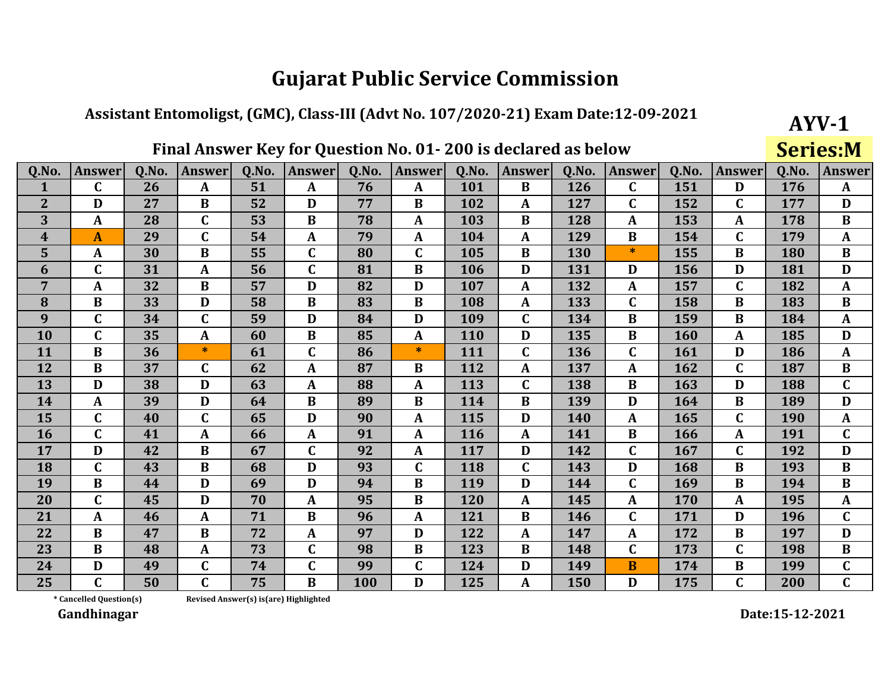#### Assistant Entomoligst, (GMC), Class-III (Advt No. 107/2020-21) Exam Date:12-09-2021

## Final Answer Key for Question No. 01-200 is declared as below

**Series:M** 

 $AYV-1$ 

| Q.No.            | <b>Answer</b>           | Q.No. | <b>Answer</b> | Q.No.                                  | <b>Answer</b> | Q.No. | <b>Answer</b> | Q.No.      | Answer       | <b>O.No.</b> | <b>Answer</b> | Q.No. | <b>Answer</b> | Q.No. | <b>Answer</b> |
|------------------|-------------------------|-------|---------------|----------------------------------------|---------------|-------|---------------|------------|--------------|--------------|---------------|-------|---------------|-------|---------------|
| $\mathbf 1$      | $\mathbf C$             | 26    | $\mathbf{A}$  | 51                                     | A             | 76    | $\mathbf{A}$  | 101        | $\bf{B}$     | 126          | C             | 151   | D             | 176   | $\mathbf{A}$  |
| $\overline{2}$   | D                       | 27    | $\bf{B}$      | 52                                     | D             | 77    | $\bf{B}$      | 102        | $\mathbf{A}$ | 127          | C             | 152   | $\mathbf C$   | 177   | D             |
| 3                | $\mathbf{A}$            | 28    | $\mathbf C$   | 53                                     | $\bf{B}$      | 78    | $\mathbf{A}$  | 103        | $\bf{B}$     | 128          | A             | 153   | $\mathbf A$   | 178   | $\bf{B}$      |
| $\boldsymbol{4}$ | $\boldsymbol{A}$        | 29    | $\mathbf C$   | 54                                     | $\mathbf{A}$  | 79    | $\mathbf{A}$  | 104        | $\mathbf{A}$ | 129          | $\bf{B}$      | 154   | $\mathbf C$   | 179   | $\mathbf{A}$  |
| 5                | $\mathbf{A}$            | 30    | $\bf{B}$      | 55                                     | $\mathbf{C}$  | 80    | $\mathbf C$   | 105        | $\bf{B}$     | 130          | $\ast$        | 155   | $\bf{B}$      | 180   | $\bf{B}$      |
| 6                | $\mathbf C$             | 31    | $\mathbf{A}$  | 56                                     | $\mathbf C$   | 81    | B             | <b>106</b> | D            | 131          | D             | 156   | D             | 181   | D             |
| 7                | $\mathbf{A}$            | 32    | $\bf{B}$      | 57                                     | D             | 82    | D             | 107        | $\mathbf{A}$ | 132          | $\mathbf{A}$  | 157   | $\mathbf C$   | 182   | $\mathbf{A}$  |
| 8                | $\bf{B}$                | 33    | D             | 58                                     | B             | 83    | $\bf{B}$      | 108        | $\mathbf{A}$ | 133          | C             | 158   | B             | 183   | $\bf{B}$      |
| 9                | $\mathbf C$             | 34    | $\mathbf C$   | 59                                     | D             | 84    | D             | 109        | $\mathbf C$  | 134          | $\bf{B}$      | 159   | $\bf{B}$      | 184   | $\mathbf{A}$  |
| 10               | $\mathbf C$             | 35    | $\mathbf{A}$  | 60                                     | $\bf{B}$      | 85    | A             | <b>110</b> | D            | 135          | $\bf{B}$      | 160   | A             | 185   | D             |
| 11               | $\bf{B}$                | 36    | $\ast$        | 61                                     | $\mathbf C$   | 86    | $\ast$        | 111        | $\mathbf C$  | 136          | $\mathbf C$   | 161   | D             | 186   | $\mathbf{A}$  |
| 12               | $\bf{B}$                | 37    | $\mathbf C$   | 62                                     | A             | 87    | B             | 112        | $\mathbf{A}$ | 137          | A             | 162   | $\mathbf C$   | 187   | $\bf{B}$      |
| 13               | D                       | 38    | D             | 63                                     | $\mathbf{A}$  | 88    | $\mathbf{A}$  | 113        | $\mathbf C$  | 138          | $\bf{B}$      | 163   | D             | 188   | $\mathbf{C}$  |
| 14               | $\mathbf{A}$            | 39    | D             | 64                                     | $\bf{B}$      | 89    | B             | 114        | $\bf{B}$     | 139          | D             | 164   | $\bf{B}$      | 189   | D             |
| 15               | $\mathbf C$             | 40    | $\mathbf C$   | 65                                     | D             | 90    | A             | 115        | D            | 140          | $\mathbf{A}$  | 165   | $\mathbf C$   | 190   | $\mathbf{A}$  |
| <b>16</b>        | $\mathbf C$             | 41    | $\mathbf{A}$  | 66                                     | $\mathbf{A}$  | 91    | $\mathbf{A}$  | 116        | $\mathbf{A}$ | 141          | B             | 166   | A             | 191   | $\mathbf{C}$  |
| 17               | D                       | 42    | $\bf{B}$      | 67                                     | C             | 92    | $\mathbf{A}$  | 117        | D            | 142          | C             | 167   | $\mathbf C$   | 192   | D             |
| 18               | $\mathbf C$             | 43    | $\bf{B}$      | 68                                     | D             | 93    | $\mathbf C$   | 118        | $\mathbf C$  | 143          | D             | 168   | $\bf{B}$      | 193   | $\bf{B}$      |
| 19               | $\bf{B}$                | 44    | D             | 69                                     | D             | 94    | $\bf{B}$      | 119        | D            | 144          | $\mathbf{C}$  | 169   | $\bf{B}$      | 194   | $\bf{B}$      |
| 20               | $\mathbf C$             | 45    | D             | 70                                     | ${\bf A}$     | 95    | $\bf{B}$      | 120        | $\mathbf{A}$ | 145          | $\mathbf{A}$  | 170   | $\mathbf{A}$  | 195   | $\mathbf{A}$  |
| 21               | $\mathbf{A}$            | 46    | $\mathbf{A}$  | 71                                     | $\bf{B}$      | 96    | $\mathbf{A}$  | 121        | $\bf{B}$     | 146          | $\mathbf C$   | 171   | D             | 196   | $\mathbf C$   |
| 22               | $\bf{B}$                | 47    | $\bf{B}$      | 72                                     | A             | 97    | D             | 122        | $\mathbf{A}$ | 147          | $\mathbf{A}$  | 172   | $\bf{B}$      | 197   | D             |
| 23               | $\bf{B}$                | 48    | $\mathbf{A}$  | 73                                     | $\mathbf{C}$  | 98    | $\bf{B}$      | 123        | $\bf{B}$     | 148          | $\mathbf C$   | 173   | $\mathbf{C}$  | 198   | $\bf{B}$      |
| 24               | D                       | 49    | $\mathbf C$   | 74                                     | $\mathbf C$   | 99    | $\mathbf C$   | 124        | D            | 149          | <b>B</b>      | 174   | B             | 199   | $\mathbf C$   |
| 25               | $\mathbf C$             | 50    | $\mathbf C$   | 75                                     | $\bf{B}$      | 100   | D             | 125        | $\mathbf{A}$ | 150          | D             | 175   | $\mathbf C$   | 200   | $\mathbf{C}$  |
|                  | * Cancelled Question(s) |       |               | Revised Answer(s) is (are) Highlighted |               |       |               |            |              |              |               |       |               |       |               |

Revised Answer(s) is(are) Highlighted

Gandhinagar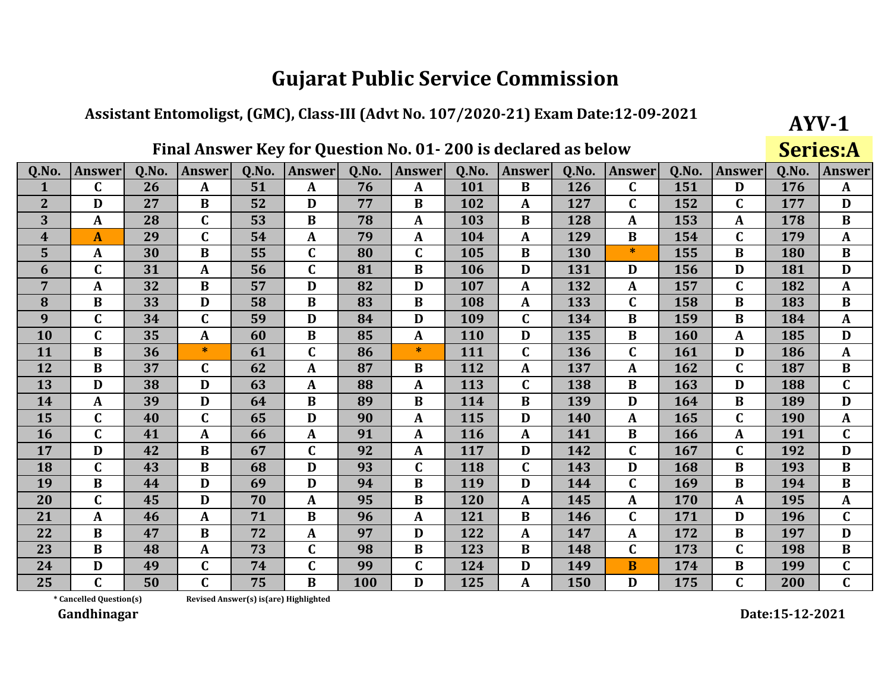## Assistant Entomoligst, (GMC), Class-III (Advt No. 107/2020-21) Exam Date:12-09-2021

## Final Answer Key for Question No. 01-200 is declared as below

**Series:A** 

 $AYV-1$ 

| Q.No.          | <b>Answer</b>    | Q.No. | <b>Answer</b> | 0.No. | <b>Answer</b> | 0.No.      | <b>Answer</b> | Q.No. | <b>Answer</b> | <b>O.No.</b> | <b>Answer</b>  | Q.No. | <b>Answer</b> | Q.No.      | <b>Answer</b> |
|----------------|------------------|-------|---------------|-------|---------------|------------|---------------|-------|---------------|--------------|----------------|-------|---------------|------------|---------------|
| $\mathbf{1}$   | $\mathbf C$      | 26    | A             | 51    | A             | 76         | A             | 101   | $\bf{B}$      | 126          | C              | 151   | D             | 176        | $\mathbf{A}$  |
| $\overline{2}$ | D                | 27    | B             | 52    | D             | 77         | B             | 102   | A             | 127          | C              | 152   | $\mathbf C$   | 177        | D             |
| 3              | $\mathbf{A}$     | 28    | $\mathbf C$   | 53    | $\bf{B}$      | 78         | $\mathbf A$   | 103   | B             | 128          | A              | 153   | A             | 178        | $\bf{B}$      |
| 4              | $\boldsymbol{A}$ | 29    | $\mathbf C$   | 54    | A             | 79         | $\mathbf A$   | 104   | $\mathbf{A}$  | 129          | B              | 154   | $\mathbf C$   | 179        | $\mathbf{A}$  |
| 5              | A                | 30    | $\bf{B}$      | 55    | $\mathbf C$   | 80         | $\mathbf C$   | 105   | B             | 130          | $\ast$         | 155   | B             | 180        | $\bf{B}$      |
| 6              | $\mathbf C$      | 31    | $\mathbf{A}$  | 56    | $\mathbf C$   | 81         | $\bf{B}$      | 106   | D             | 131          | D              | 156   | D             | 181        | D             |
| 7              | A                | 32    | $\bf{B}$      | 57    | D             | 82         | D             | 107   | $\mathbf{A}$  | 132          | A              | 157   | $\mathbf{C}$  | 182        | $\mathbf{A}$  |
| 8              | B                | 33    | D             | 58    | $\bf{B}$      | 83         | B             | 108   | A             | 133          | $\mathbf C$    | 158   | B             | 183        | $\bf{B}$      |
| 9              | $\mathbf C$      | 34    | $\mathbf C$   | 59    | D             | 84         | D             | 109   | $\mathbf C$   | 134          | B              | 159   | B             | 184        | $\mathbf{A}$  |
| 10             | $\mathbf C$      | 35    | $\mathbf{A}$  | 60    | $\bf{B}$      | 85         | $\mathbf{A}$  | 110   | D             | 135          | B              | 160   | A             | 185        | D             |
| 11             | $\bf{B}$         | 36    | $\ast$        | 61    | C             | 86         | $\ast$        | 111   | $\mathbf C$   | 136          | $\mathbf C$    | 161   | D             | 186        | $\mathbf{A}$  |
| 12             | $\bf{B}$         | 37    | $\mathbf C$   | 62    | A             | 87         | $\bf{B}$      | 112   | $\mathbf{A}$  | 137          | A              | 162   | $\mathbf C$   | 187        | $\bf{B}$      |
| 13             | D                | 38    | D             | 63    | A             | 88         | A             | 113   | $\mathbf C$   | 138          | B              | 163   | D             | 188        | $\mathbf C$   |
| 14             | $\mathbf{A}$     | 39    | D             | 64    | B             | 89         | $\bf{B}$      | 114   | $\bf{B}$      | 139          | D              | 164   | $\bf{B}$      | 189        | D             |
| 15             | $\mathbf C$      | 40    | $\mathbf C$   | 65    | D             | 90         | A             | 115   | D             | 140          | A              | 165   | $\mathbf C$   | <b>190</b> | $\mathbf{A}$  |
| <b>16</b>      | $\mathbf C$      | 41    | $\mathbf{A}$  | 66    | A             | 91         | $\mathbf{A}$  | 116   | A             | 141          | B              | 166   | A             | 191        | $\mathbf C$   |
| 17             | D                | 42    | B             | 67    | C             | 92         | A             | 117   | D             | 142          | C              | 167   | $\mathbf C$   | 192        | D             |
| 18             | $\mathbf C$      | 43    | $\bf{B}$      | 68    | D             | 93         | $\mathbf C$   | 118   | $\mathbf C$   | 143          | D              | 168   | $\bf{B}$      | 193        | $\bf{B}$      |
| 19             | $\bf{B}$         | 44    | D             | 69    | D             | 94         | $\bf{B}$      | 119   | D             | 144          | $\mathbf C$    | 169   | $\bf{B}$      | 194        | $\bf{B}$      |
| 20             | $\mathbf C$      | 45    | D             | 70    | A             | 95         | $\bf{B}$      | 120   | $\mathbf{A}$  | 145          | A              | 170   | A             | 195        | $\mathbf{A}$  |
| 21             | A                | 46    | A             | 71    | $\bf{B}$      | 96         | A             | 121   | B             | 146          | $\mathbf C$    | 171   | D             | 196        | $\mathbf C$   |
| 22             | $\bf{B}$         | 47    | $\bf{B}$      | 72    | A             | 97         | D             | 122   | $\mathbf{A}$  | 147          | $\mathbf{A}$   | 172   | $\bf{B}$      | 197        | D             |
| 23             | $\bf{B}$         | 48    | A             | 73    | C             | 98         | B             | 123   | $\bf{B}$      | 148          | $\mathbf C$    | 173   | $\mathbf C$   | 198        | $\bf{B}$      |
| 24             | D                | 49    | $\mathbf C$   | 74    | $\mathbf C$   | 99         | $\mathbf C$   | 124   | D             | 149          | $\overline{B}$ | 174   | $\bf{B}$      | 199        | $\mathbf C$   |
| 25             | $\mathbf C$      | 50    | $\mathbf C$   | 75    | B             | <b>100</b> | D             | 125   | A             | 150          | D              | 175   | $\mathbf C$   | 200        | $\mathbf C$   |

\* Cancelled Question(s) Revised Answer(s) is(are) Highlighted

Gandhinagar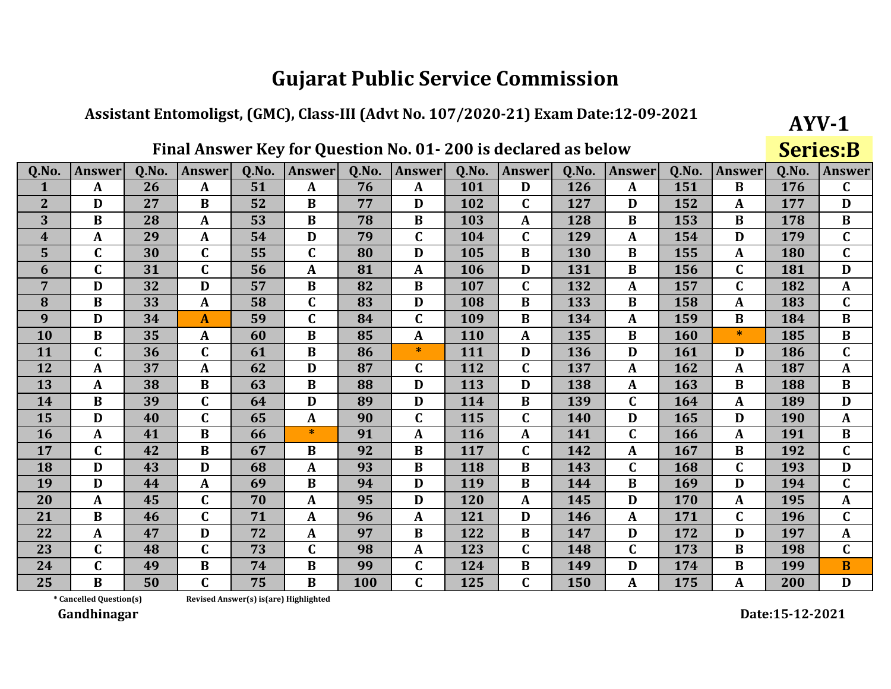#### Assistant Entomoligst, (GMC), Class-III (Advt No. 107/2020-21) Exam Date:12-09-2021

## Final Answer Key for Question No. 01-200 is declared as below

**Series:B** 

 $AYV-1$ 

| Q.No.            | <b>Answer</b>           | 0.No. | <b>Answer</b> | Q.No.                                 | <b>Answer</b> | Q.No. | <b>Answer</b> | Q.No.      | <b>Answer</b> | Q.No. | <b>Answer</b> | Q.No.      | <b>Answer</b> | Q.No.      | <b>Answer</b> |
|------------------|-------------------------|-------|---------------|---------------------------------------|---------------|-------|---------------|------------|---------------|-------|---------------|------------|---------------|------------|---------------|
| 1                | $\mathbf{A}$            | 26    | $\mathbf{A}$  | 51                                    | A             | 76    | $\mathbf{A}$  | 101        | D             | 126   | $\mathbf{A}$  | 151        | B             | 176        | $\mathbf C$   |
| $\mathbf{2}$     | D                       | 27    | B             | 52                                    | B             | 77    | D             | 102        | C             | 127   | D             | 152        | A             | 177        | D             |
| 3                | $\bf{B}$                | 28    | $\mathbf{A}$  | 53                                    | $\bf{B}$      | 78    | $\bf{B}$      | 103        | $\mathbf{A}$  | 128   | B             | 153        | $\bf{B}$      | 178        | $\bf{B}$      |
| $\boldsymbol{4}$ | A                       | 29    | $\mathbf{A}$  | 54                                    | D             | 79    | $\mathbf C$   | 104        | $\mathbf C$   | 129   | A             | 154        | D             | 179        | $\mathbf C$   |
| 5 <sup>5</sup>   | $\mathbf C$             | 30    | $\mathbf{C}$  | 55                                    | $\mathbf C$   | 80    | D             | 105        | $\bf{B}$      | 130   | $\bf{B}$      | 155        | A             | 180        | $\mathbf{C}$  |
| 6                | $\mathbf C$             | 31    | $\mathbf C$   | 56                                    | $\mathbf{A}$  | 81    | $\mathbf{A}$  | 106        | D             | 131   | B             | 156        | $\mathbf C$   | 181        | D             |
| $\overline{7}$   | D                       | 32    | D             | 57                                    | $\bf{B}$      | 82    | $\bf{B}$      | 107        | $\mathbf C$   | 132   | A             | 157        | $\mathbf C$   | 182        | $\mathbf{A}$  |
| 8                | $\bf{B}$                | 33    | $\mathbf{A}$  | 58                                    | $\mathbf C$   | 83    | D             | 108        | $\bf{B}$      | 133   | B             | 158        | A             | 183        | $\mathbf{C}$  |
| 9                | D                       | 34    | $\mathbf{A}$  | 59                                    | $\mathbf{C}$  | 84    | $\mathbf C$   | 109        | $\bf{B}$      | 134   | A             | 159        | $\bf{B}$      | 184        | $\bf{B}$      |
| 10               | B                       | 35    | $\mathbf{A}$  | 60                                    | $\bf{B}$      | 85    | $\mathbf{A}$  | <b>110</b> | $\mathbf{A}$  | 135   | $\bf{B}$      | <b>160</b> | $\ast$        | 185        | $\bf{B}$      |
| <b>11</b>        | $\mathbf C$             | 36    | $\mathbf C$   | 61                                    | B             | 86    | $\ast$        | 111        | D             | 136   | D             | 161        | D             | 186        | $\mathbf C$   |
| 12               | A                       | 37    | A             | 62                                    | D             | 87    | $\mathbf C$   | 112        | $\mathbf C$   | 137   | A             | 162        | $\mathbf{A}$  | 187        | $\mathbf{A}$  |
| 13               | $\mathbf{A}$            | 38    | $\bf{B}$      | 63                                    | $\bf{B}$      | 88    | D             | 113        | D             | 138   | A             | 163        | $\bf{B}$      | 188        | $\bf{B}$      |
| 14               | $\bf{B}$                | 39    | $\mathbf{C}$  | 64                                    | D             | 89    | D             | 114        | $\bf{B}$      | 139   | $\mathbf C$   | 164        | A             | 189        | D             |
| 15               | D                       | 40    | $\mathbf{C}$  | 65                                    | $\mathbf{A}$  | 90    | $\mathbf C$   | 115        | $\mathbf C$   | 140   | D             | 165        | D             | <b>190</b> | $\mathbf{A}$  |
| 16               | A                       | 41    | $\bf{B}$      | 66                                    | $\ast$        | 91    | $\mathbf{A}$  | 116        | $\mathbf{A}$  | 141   | C             | 166        | $\mathbf{A}$  | 191        | $\bf{B}$      |
| 17               | $\mathbf C$             | 42    | $\bf{B}$      | 67                                    | B             | 92    | $\bf{B}$      | 117        | $\mathbf C$   | 142   | A             | 167        | $\bf{B}$      | 192        | $\mathbf C$   |
| 18               | D                       | 43    | D             | 68                                    | $\mathbf{A}$  | 93    | $\bf{B}$      | 118        | $\bf{B}$      | 143   | $\mathbf C$   | 168        | $\mathbf{C}$  | 193        | D             |
| 19               | D                       | 44    | $\mathbf{A}$  | 69                                    | $\bf{B}$      | 94    | D             | 119        | $\bf{B}$      | 144   | $\bf{B}$      | 169        | D             | 194        | $\mathbf C$   |
| 20               | A                       | 45    | $\mathbf C$   | 70                                    | $\mathbf{A}$  | 95    | D             | 120        | $\mathbf{A}$  | 145   | D             | 170        | A             | 195        | $\mathbf{A}$  |
| 21               | $\bf{B}$                | 46    | $\mathbf C$   | 71                                    | A             | 96    | $\mathbf{A}$  | 121        | D             | 146   | A             | 171        | $\mathbf C$   | 196        | $\mathbf C$   |
| 22               | $\boldsymbol{A}$        | 47    | $\mathbf{D}$  | 72                                    | A             | 97    | $\bf{B}$      | 122        | $\bf{B}$      | 147   | D             | 172        | D             | 197        | $\mathbf{A}$  |
| 23               | $\mathbf C$             | 48    | $\mathbf{C}$  | 73                                    | $\mathbf C$   | 98    | $\mathbf{A}$  | 123        | $\mathbf C$   | 148   | $\mathbf C$   | 173        | $\bf{B}$      | 198        | $\mathbf C$   |
| 24               | $\mathbf C$             | 49    | $\bf{B}$      | 74                                    | B             | 99    | $\mathbf C$   | 124        | B             | 149   | D             | 174        | B             | 199        | B             |
| 25               | $\bf{B}$                | 50    | $\mathbf{C}$  | 75                                    | $\bf{B}$      | 100   | $\mathbf C$   | 125        | $\mathbf C$   | 150   | ${\bf A}$     | 175        | A             | 200        | D             |
|                  | * Cancelled Question(s) |       |               | Revised Answer(s) is(are) Highlighted |               |       |               |            |               |       |               |            |               |            |               |

Revised Answer(s) is(are) Highlighted

Gandhinagar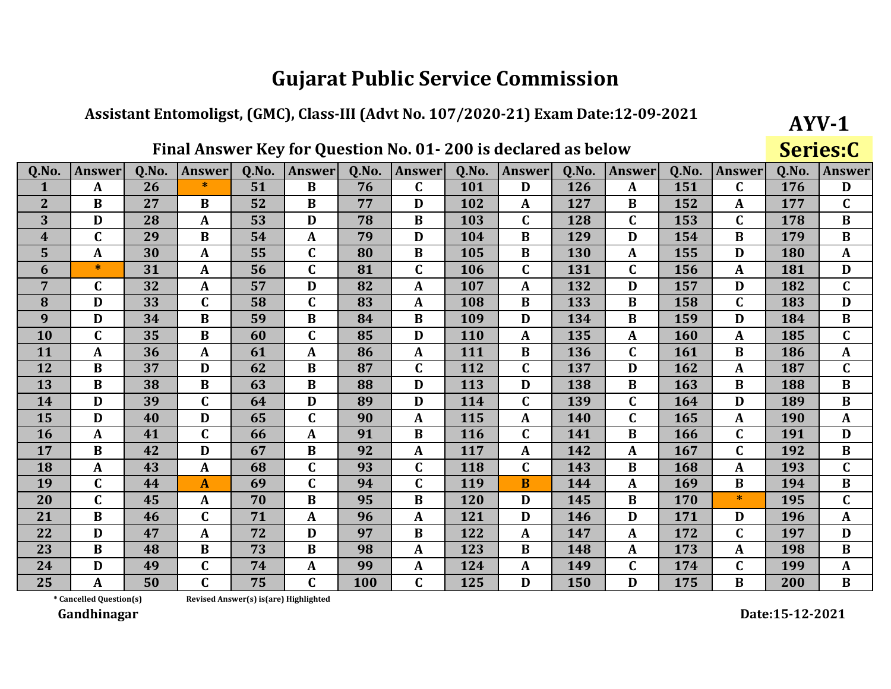#### Assistant Entomoligst, (GMC), Class-III (Advt No. 107/2020-21) Exam Date:12-09-2021

## Final Answer Key for Question No. 01-200 is declared as below

Series:C

 $AYV-1$ 

| Q.No.          | <b>Answer</b> | Q.No. | <b>Answer</b> | 0.No. | <b>Answer</b> | Q.No.      | <b>Answer</b> | Q.No.      | <b>Answer</b> | 0.No.      | <b>Answer</b> | Q.No. | <b>Answer</b> | Q.No. | <b>Answer</b>  |
|----------------|---------------|-------|---------------|-------|---------------|------------|---------------|------------|---------------|------------|---------------|-------|---------------|-------|----------------|
| $\mathbf{1}$   | $\mathbf{A}$  | 26    | $\ast$        | 51    | $\bf{B}$      | 76         | $\mathbf C$   | 101        | D             | 126        | $\mathbf{A}$  | 151   | $\mathbf C$   | 176   | D              |
| $\overline{2}$ | B             | 27    | B             | 52    | B             | 77         | D             | 102        | A             | 127        | B             | 152   | A             | 177   | $\mathbf C$    |
| 3              | D             | 28    | $\mathbf{A}$  | 53    | D             | 78         | $\bf{B}$      | 103        | $\mathbf C$   | 128        | $\mathbf{C}$  | 153   | $\mathbf C$   | 178   | $\bf{B}$       |
| 4              | $\mathbf C$   | 29    | $\bf{B}$      | 54    | A             | 79         | D             | 104        | B             | 129        | D             | 154   | B             | 179   | $\bf{B}$       |
| 5              | $\mathbf{A}$  | 30    | $\mathbf{A}$  | 55    | $\mathbf C$   | 80         | $\bf{B}$      | 105        | $\bf{B}$      | 130        | A             | 155   | D             | 180   | $\mathbf{A}$   |
| 6              | $\ast$        | 31    | $\mathbf{A}$  | 56    | $\mathbf C$   | 81         | $\mathbf C$   | 106        | $\mathbf C$   | 131        | $\mathbf C$   | 156   | $\mathbf{A}$  | 181   | D              |
| $\overline{7}$ | $\mathbf C$   | 32    | $\mathbf{A}$  | 57    | D             | 82         | $\mathbf{A}$  | 107        | $\mathbf{A}$  | 132        | D             | 157   | D             | 182   | $\mathbf C$    |
| 8              | D             | 33    | $\mathbf C$   | 58    | C             | 83         | A             | 108        | B             | 133        | B             | 158   | $\mathbf C$   | 183   | D              |
| 9              | D             | 34    | B             | 59    | $\bf{B}$      | 84         | $\bf{B}$      | 109        | D             | 134        | $\bf{B}$      | 159   | D             | 184   | $\bf{B}$       |
| 10             | $\mathbf C$   | 35    | $\bf{B}$      | 60    | $\mathbf{C}$  | 85         | D             | 110        | A             | 135        | $\mathbf{A}$  | 160   | $\mathbf{A}$  | 185   | $\mathbf{C}$   |
| 11             | $\mathbf{A}$  | 36    | $\mathbf{A}$  | 61    | A             | 86         | $\mathbf{A}$  | 111        | $\bf{B}$      | 136        | $\mathbf C$   | 161   | $\bf{B}$      | 186   | $\mathbf{A}$   |
| 12             | $\bf{B}$      | 37    | D             | 62    | $\bf{B}$      | 87         | $\mathbf C$   | 112        | $\mathbf{C}$  | 137        | D             | 162   | $\mathbf{A}$  | 187   | $\mathbf{C}$   |
| 13             | $\bf{B}$      | 38    | $\bf{B}$      | 63    | $\bf{B}$      | 88         | D             | 113        | D             | 138        | $\bf{B}$      | 163   | $\bf{B}$      | 188   | $\bf{B}$       |
| 14             | D             | 39    | $\mathbf C$   | 64    | D             | 89         | D             | 114        | $\mathbf C$   | 139        | $\mathbf{C}$  | 164   | D             | 189   | $\bf{B}$       |
| 15             | D             | 40    | D             | 65    | C             | 90         | A             | 115        | A             | <b>140</b> | $\mathbf C$   | 165   | $\mathbf{A}$  | 190   | $\mathbf{A}$   |
| 16             | $\mathbf{A}$  | 41    | $\mathbf C$   | 66    | $\mathbf{A}$  | 91         | $\bf{B}$      | <b>116</b> | C             | 141        | $\bf{B}$      | 166   | $\mathbf C$   | 191   | D              |
| 17             | $\bf{B}$      | 42    | D             | 67    | $\bf{B}$      | 92         | $\mathbf{A}$  | 117        | $\mathbf{A}$  | 142        | $\mathbf{A}$  | 167   | $\mathbf C$   | 192   | $\bf{B}$       |
| 18             | $\mathbf{A}$  | 43    | $\mathbf{A}$  | 68    | $\mathbf C$   | 93         | $\mathbf C$   | 118        | $\mathbf C$   | 143        | $\bf{B}$      | 168   | $\mathbf{A}$  | 193   | $\overline{C}$ |
| 19             | $\mathbf C$   | 44    | $\mathbf{A}$  | 69    | $\mathbf{C}$  | 94         | $\mathbf{C}$  | 119        | B             | 144        | $\mathbf{A}$  | 169   | $\bf{B}$      | 194   | $\bf{B}$       |
| 20             | $\mathbf C$   | 45    | $\mathbf{A}$  | 70    | $\bf{B}$      | 95         | $\bf{B}$      | 120        | D             | 145        | $\bf{B}$      | 170   | $\ast$        | 195   | $\mathbf{C}$   |
| 21             | $\bf{B}$      | 46    | $\mathbf C$   | 71    | $\mathbf{A}$  | 96         | $\mathbf{A}$  | 121        | D             | 146        | D             | 171   | D             | 196   | $\mathbf{A}$   |
| 22             | D             | 47    | A             | 72    | D             | 97         | B             | 122        | A             | 147        | $\mathbf{A}$  | 172   | $\mathbf C$   | 197   | D              |
| 23             | $\bf{B}$      | 48    | $\bf{B}$      | 73    | $\bf{B}$      | 98         | $\mathbf{A}$  | 123        | B             | 148        | $\mathbf{A}$  | 173   | $\mathbf{A}$  | 198   | $\bf{B}$       |
| 24             | D             | 49    | $\mathbf C$   | 74    | A             | 99         | $\mathbf{A}$  | 124        | A             | 149        | C             | 174   | $\mathbf C$   | 199   | $\mathbf{A}$   |
| 25             | A             | 50    | $\mathbf C$   | 75    | $\mathbf C$   | <b>100</b> | C             | 125        | D             | <b>150</b> | D             | 175   | B             | 200   | $\bf{B}$       |

\* Cancelled Question(s)

Revised Answer(s) is(are) Highlighted

Gandhinagar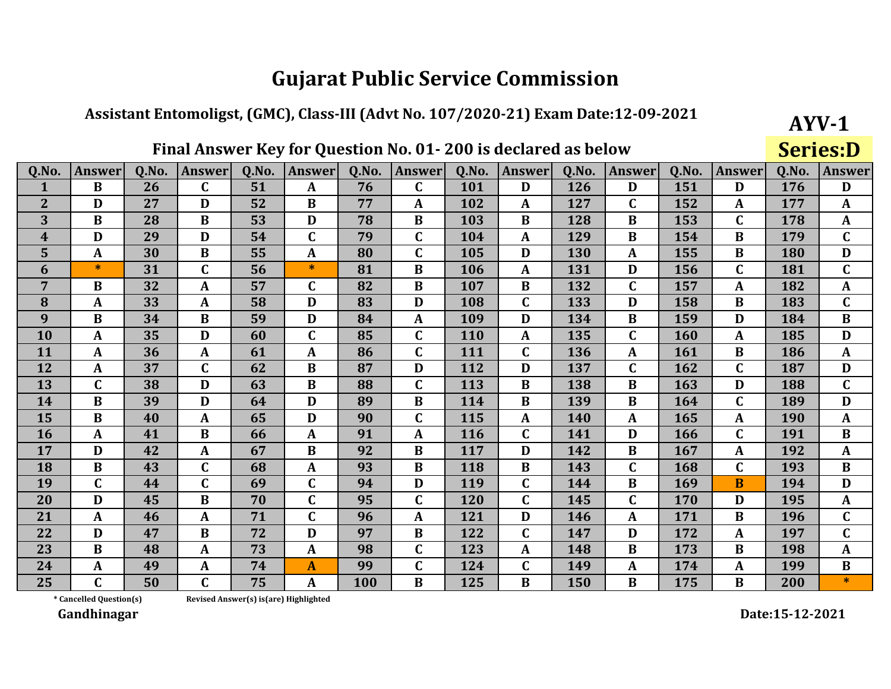## Assistant Entomoligst, (GMC), Class-III (Advt No. 107/2020-21) Exam Date:12-09-2021

## Final Answer Key for Question No. 01-200 is declared as below

**Series:D** 

 $AYV-1$ 

| Q.No.          | <b>Answer</b> | Q.No. | <b>Answer</b> | Q.No. | <b>Answer</b> | Q.No.      | <b>Answer</b> | Q.No.      | <b>Answer</b> | Q.No. | <b>Answer</b> | Q.No. | <b>Answer</b> | Q.No. | <b>Answer</b> |
|----------------|---------------|-------|---------------|-------|---------------|------------|---------------|------------|---------------|-------|---------------|-------|---------------|-------|---------------|
| 1              | $\bf{B}$      | 26    | $\mathbf C$   | 51    | A             | 76         | $\mathbf C$   | 101        | D             | 126   | D             | 151   | D             | 176   | D             |
| $\overline{2}$ | D             | 27    | D             | 52    | B             | 77         | A             | 102        | A             | 127   | C             | 152   | A             | 177   | A             |
| 3              | $\bf{B}$      | 28    | $\bf{B}$      | 53    | D             | 78         | $\bf{B}$      | 103        | $\bf{B}$      | 128   | $\bf{B}$      | 153   | $\mathbf C$   | 178   | $\mathbf{A}$  |
| 4              | D             | 29    | D             | 54    | $\mathbf{C}$  | 79         | $\mathbf C$   | 104        | $\mathbf{A}$  | 129   | B             | 154   | B             | 179   | $\mathbf C$   |
| 5              | $\mathbf{A}$  | 30    | $\bf{B}$      | 55    | A             | 80         | $\mathbf C$   | 105        | D             | 130   | A             | 155   | B             | 180   | D             |
| 6              | $\ast$        | 31    | $\mathbf C$   | 56    | $\ast$        | 81         | $\bf{B}$      | 106        | $\mathbf{A}$  | 131   | D             | 156   | $\mathbf C$   | 181   | $\mathbf C$   |
| $\overline{7}$ | $\bf{B}$      | 32    | $\mathbf{A}$  | 57    | $\mathbf C$   | 82         | $\bf{B}$      | 107        | $\bf{B}$      | 132   | $\mathbf C$   | 157   | A             | 182   | $\mathbf{A}$  |
| 8              | $\mathbf{A}$  | 33    | $\mathbf{A}$  | 58    | D             | 83         | D             | 108        | $\mathbf C$   | 133   | D             | 158   | B             | 183   | $\mathbf C$   |
| 9              | $\bf{B}$      | 34    | $\bf{B}$      | 59    | D             | 84         | A             | 109        | D             | 134   | B             | 159   | D             | 184   | $\bf{B}$      |
| 10             | $\mathbf{A}$  | 35    | D             | 60    | C             | 85         | $\mathbf C$   | 110        | $\mathbf{A}$  | 135   | C             | 160   | A             | 185   | D             |
| 11             | $\mathbf{A}$  | 36    | $\mathbf{A}$  | 61    | A             | 86         | $\mathbf C$   | 111        | $\mathbf C$   | 136   | A             | 161   | $\bf{B}$      | 186   | $\mathbf{A}$  |
| 12             | $\mathbf{A}$  | 37    | $\mathbf C$   | 62    | $\bf{B}$      | 87         | D             | 112        | D             | 137   | C             | 162   | $\mathbf C$   | 187   | D             |
| 13             | $\mathbf C$   | 38    | D             | 63    | $\bf{B}$      | 88         | $\mathbf C$   | 113        | $\bf{B}$      | 138   | $\bf{B}$      | 163   | D             | 188   | $\mathbf C$   |
| 14             | $\bf{B}$      | 39    | D             | 64    | D             | 89         | $\bf{B}$      | 114        | $\bf{B}$      | 139   | $\bf{B}$      | 164   | $\mathbf C$   | 189   | D             |
| 15             | $\bf{B}$      | 40    | $\mathbf{A}$  | 65    | D             | 90         | $\mathbf C$   | 115        | $\mathbf{A}$  | 140   | $\mathbf{A}$  | 165   | A             | 190   | $\mathbf{A}$  |
| <b>16</b>      | $\mathbf{A}$  | 41    | $\bf{B}$      | 66    | A             | 91         | A             | <b>116</b> | $\mathbf C$   | 141   | D             | 166   | $\mathbf C$   | 191   | $\bf{B}$      |
| 17             | D             | 42    | $\mathbf{A}$  | 67    | B             | 92         | $\bf{B}$      | 117        | D             | 142   | B             | 167   | A             | 192   | $\mathbf{A}$  |
| 18             | $\bf{B}$      | 43    | $\mathbf C$   | 68    | A             | 93         | $\bf{B}$      | 118        | $\bf{B}$      | 143   | $\mathbf C$   | 168   | $\mathbf C$   | 193   | $\bf{B}$      |
| 19             | $\mathbf C$   | 44    | $\mathbf C$   | 69    | $\mathbf C$   | 94         | D             | 119        | $\mathbf C$   | 144   | $\bf{B}$      | 169   | B             | 194   | D             |
| 20             | D             | 45    | $\bf{B}$      | 70    | $\mathbf{C}$  | 95         | $\mathbf C$   | 120        | $\mathbf C$   | 145   | $\mathbf C$   | 170   | D             | 195   | $\mathbf{A}$  |
| 21             | $\mathbf{A}$  | 46    | $\mathbf{A}$  | 71    | $\mathbf C$   | 96         | $\mathbf{A}$  | 121        | D             | 146   | A             | 171   | $\bf{B}$      | 196   | $\mathbf C$   |
| 22             | D             | 47    | $\bf{B}$      | 72    | D             | 97         | B             | 122        | $\mathbf C$   | 147   | D             | 172   | A             | 197   | $\mathbf C$   |
| 23             | $\bf{B}$      | 48    | $\mathbf{A}$  | 73    | $\mathbf{A}$  | 98         | $\mathbf C$   | 123        | $\mathbf{A}$  | 148   | B             | 173   | $\bf{B}$      | 198   | $\mathbf A$   |
| 24             | A             | 49    | $\mathbf{A}$  | 74    | A             | 99         | $\mathbf C$   | 124        | $\mathbf C$   | 149   | A             | 174   | A             | 199   | $\bf{B}$      |
| 25             | $\mathbf C$   | 50    | $\mathbf C$   | 75    | A             | <b>100</b> | B             | 125        | $\bf{B}$      | 150   | B             | 175   | B             | 200   | $\ast$        |

\* Cancelled Question(s) Revised Answer(s) is(are) Highlighted

Gandhinagar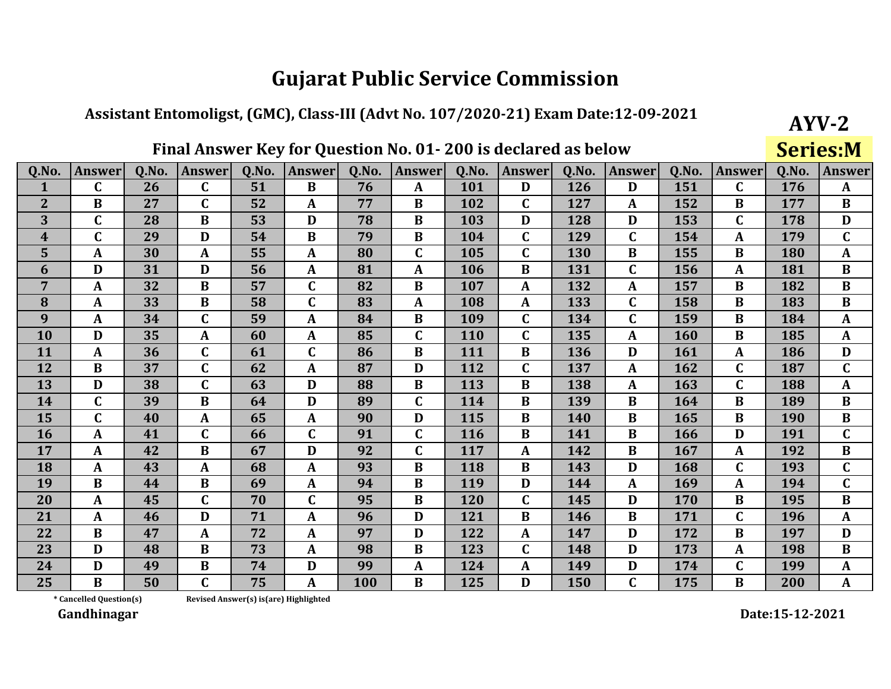#### Assistant Entomoligst, (GMC), Class-III (Advt No. 107/2020-21) Exam Date:12-09-2021

## Final Answer Key for Question No. 01-200 is declared as below

**Series:M** 

 $AYV-2$ 

| Q.No.          | <b>Answer</b> | O.No. | <b>Answer</b> | 0.No. | <b>Answer</b> | 0.No.      | <b>Answer</b> | Q.No.      | <b>Answer</b> | 0.No. | <b>Answer</b> | 0.No. | <b>Answer</b> | Q.No. | <b>Answer</b> |
|----------------|---------------|-------|---------------|-------|---------------|------------|---------------|------------|---------------|-------|---------------|-------|---------------|-------|---------------|
| $\mathbf{1}$   | $\mathbf C$   | 26    | $\mathbf C$   | 51    | B             | 76         | A             | <b>101</b> | D             | 126   | D             | 151   | $\mathbf C$   | 176   | $\mathbf{A}$  |
| $\overline{2}$ | $\bf{B}$      | 27    | $\mathbf C$   | 52    | $\mathbf{A}$  | 77         | $\bf{B}$      | 102        | $\mathbf C$   | 127   | A             | 152   | $\bf{B}$      | 177   | $\bf{B}$      |
| 3              | $\mathbf C$   | 28    | $\bf{B}$      | 53    | D             | 78         | $\bf{B}$      | 103        | D             | 128   | D             | 153   | $\mathbf C$   | 178   | D             |
| 4              | $\mathbf C$   | 29    | D             | 54    | $\bf{B}$      | 79         | $\bf{B}$      | 104        | $\mathbf C$   | 129   | C             | 154   | $\mathbf{A}$  | 179   | $\mathbf C$   |
| 5              | $\mathbf{A}$  | 30    | $\mathbf{A}$  | 55    | A             | 80         | $\mathbf C$   | 105        | $\mathbf C$   | 130   | B             | 155   | B             | 180   | $\mathbf{A}$  |
| 6              | D             | 31    | D             | 56    | A             | 81         | $\mathbf A$   | 106        | $\bf{B}$      | 131   | $\mathbf C$   | 156   | $\mathbf{A}$  | 181   | $\bf{B}$      |
| $\overline{7}$ | $\mathbf{A}$  | 32    | $\bf{B}$      | 57    | $\mathbf C$   | 82         | $\bf{B}$      | 107        | $\mathbf{A}$  | 132   | A             | 157   | B             | 182   | $\bf{B}$      |
| 8              | $\mathbf{A}$  | 33    | $\bf{B}$      | 58    | $\mathbf C$   | 83         | A             | 108        | $\mathbf{A}$  | 133   | $\mathbf C$   | 158   | B             | 183   | $\bf{B}$      |
| 9              | $\mathbf{A}$  | 34    | $\mathbf C$   | 59    | A             | 84         | $\bf{B}$      | 109        | $\mathbf C$   | 134   | C             | 159   | $\bf{B}$      | 184   | $\mathbf{A}$  |
| 10             | D             | 35    | $\mathbf{A}$  | 60    | A             | 85         | $\mathbf C$   | 110        | $\mathbf C$   | 135   | A             | 160   | $\bf{B}$      | 185   | $\mathbf{A}$  |
| 11             | $\mathbf{A}$  | 36    | $\mathbf C$   | 61    | $\mathbf C$   | 86         | $\bf{B}$      | 111        | B             | 136   | D             | 161   | A             | 186   | D             |
| 12             | $\mathbf{B}$  | 37    | $\mathbf C$   | 62    | A             | 87         | D             | 112        | $\mathbf C$   | 137   | A             | 162   | $\mathbf C$   | 187   | $\mathbf C$   |
| 13             | D             | 38    | $\mathbf C$   | 63    | D             | 88         | $\bf{B}$      | 113        | $\bf{B}$      | 138   | $\mathbf{A}$  | 163   | $\mathbf C$   | 188   | $\mathbf{A}$  |
| 14             | $\mathbf C$   | 39    | $\bf{B}$      | 64    | D             | 89         | $\mathbf C$   | 114        | B             | 139   | B             | 164   | B             | 189   | $\bf{B}$      |
| 15             | $\mathbf C$   | 40    | $\mathbf{A}$  | 65    | $\mathbf{A}$  | 90         | D             | 115        | B             | 140   | B             | 165   | B             | 190   | $\bf{B}$      |
| 16             | $\mathbf{A}$  | 41    | $\mathbf C$   | 66    | $\mathbf C$   | 91         | $\mathbf C$   | 116        | $\bf{B}$      | 141   | B             | 166   | D             | 191   | $\mathbf C$   |
| 17             | $\mathbf{A}$  | 42    | $\bf{B}$      | 67    | D             | 92         | $\mathbf C$   | 117        | A             | 142   | B             | 167   | A             | 192   | $\bf{B}$      |
| 18             | $\mathbf{A}$  | 43    | $\mathbf{A}$  | 68    | A             | 93         | $\bf{B}$      | 118        | $\bf{B}$      | 143   | D             | 168   | $\mathbf C$   | 193   | $\mathbf C$   |
| 19             | $\bf{B}$      | 44    | $\bf{B}$      | 69    | A             | 94         | $\bf{B}$      | 119        | D             | 144   | $\mathbf{A}$  | 169   | A             | 194   | $\mathbf{C}$  |
| 20             | A             | 45    | $\mathbf C$   | 70    | $\mathbf C$   | 95         | $\bf{B}$      | 120        | $\mathbf C$   | 145   | D             | 170   | $\bf{B}$      | 195   | $\bf{B}$      |
| 21             | $\mathbf{A}$  | 46    | D             | 71    | A             | 96         | D             | 121        | $\bf{B}$      | 146   | $\bf{B}$      | 171   | $\mathbf C$   | 196   | $\mathbf{A}$  |
| 22             | $\bf{B}$      | 47    | $\mathbf{A}$  | 72    | A             | 97         | D             | 122        | $\mathbf{A}$  | 147   | D             | 172   | $\bf{B}$      | 197   | D             |
| 23             | D             | 48    | $\bf{B}$      | 73    | A             | 98         | $\bf{B}$      | 123        | $\mathbf C$   | 148   | D             | 173   | $\mathbf{A}$  | 198   | $\bf{B}$      |
| 24             | D             | 49    | $\bf{B}$      | 74    | D             | 99         | $\mathbf A$   | 124        | $\mathbf{A}$  | 149   | D             | 174   | $\mathbf C$   | 199   | $\mathbf{A}$  |
| 25             | $\bf{B}$      | 50    | $\mathbf C$   | 75    | A             | <b>100</b> | $\bf{B}$      | 125        | D             | 150   | C             | 175   | $\bf{B}$      | 200   | $\mathbf{A}$  |

Revised Answer(s) is(are) Highlighted

\* Cancelled Question(s) Gandhinagar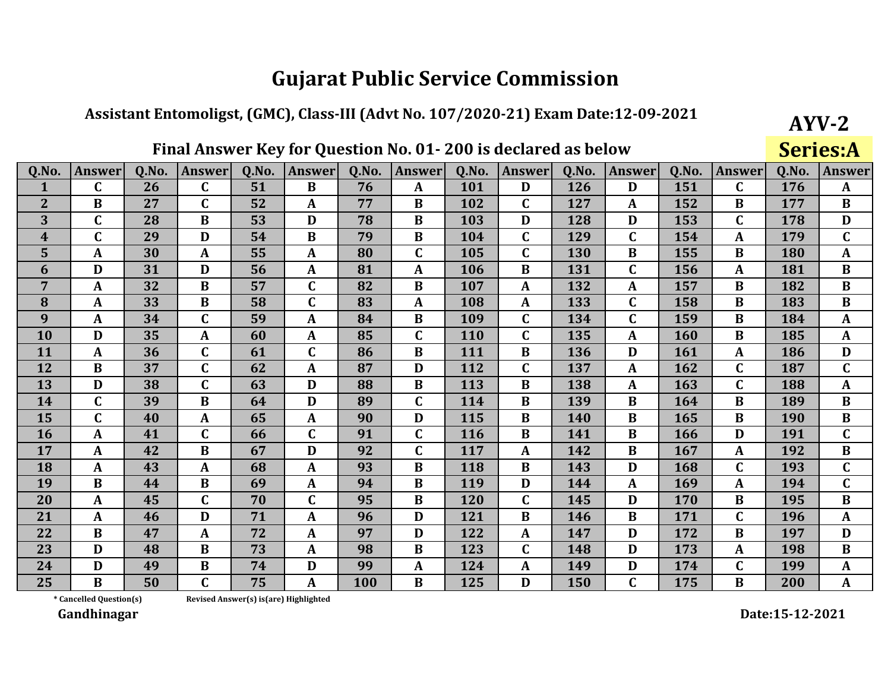## Assistant Entomoligst, (GMC), Class-III (Advt No. 107/2020-21) Exam Date:12-09-2021

## Final Answer Key for Question No. 01-200 is declared as below

**Series:A** 

 $AYV-2$ 

| Q.No.       | <b>Answer</b> | 0.No. | <b>Answer</b> | Q.No. | <b>Answer</b> | Q.No.      | <b>Answer</b> | Q.No.      | <b>Answer</b> | 0.No. | <b>Answer</b> | 0.No. | <b>Answer</b> | Q.No.      | <b>Answer</b> |
|-------------|---------------|-------|---------------|-------|---------------|------------|---------------|------------|---------------|-------|---------------|-------|---------------|------------|---------------|
| 1           | $\mathbf C$   | 26    | $\mathbf C$   | 51    | B             | 76         | $\mathbf{A}$  | 101        | D             | 126   | D             | 151   | $\mathbf C$   | 176        | $\mathbf{A}$  |
| $2^{\circ}$ | B             | 27    | $\mathbf C$   | 52    | A             | 77         | B             | 102        | $\mathbf C$   | 127   | A             | 152   | B             | 177        | B             |
| 3           | $\mathbf C$   | 28    | $\bf{B}$      | 53    | D             | 78         | B             | 103        | D             | 128   | D             | 153   | $\mathbf C$   | 178        | D             |
| 4           | $\mathbf C$   | 29    | D             | 54    | B             | 79         | $\bf{B}$      | 104        | $\mathbf C$   | 129   | $\mathbf C$   | 154   | $\mathbf{A}$  | 179        | $\mathbf C$   |
| 5           | A             | 30    | A             | 55    | A             | 80         | $\mathbf C$   | 105        | $\mathbf C$   | 130   | B             | 155   | B             | 180        | $\mathbf{A}$  |
| 6           | D             | 31    | D             | 56    | A             | 81         | $\mathbf{A}$  | 106        | $\bf{B}$      | 131   | $\mathbf{C}$  | 156   | $\mathbf{A}$  | 181        | $\bf{B}$      |
| 7           | A             | 32    | $\bf{B}$      | 57    | $\mathbf C$   | 82         | $\bf{B}$      | 107        | $\mathbf{A}$  | 132   | A             | 157   | B             | 182        | $\bf{B}$      |
| 8           | A             | 33    | $\bf{B}$      | 58    | C             | 83         | A             | 108        | A             | 133   | $\mathbf{C}$  | 158   | B             | 183        | $\bf{B}$      |
| 9           | A             | 34    | $\mathbf C$   | 59    | A             | 84         | B             | 109        | $\mathbf C$   | 134   | C             | 159   | B             | 184        | $\mathbf{A}$  |
| <b>10</b>   | D             | 35    | $\mathbf{A}$  | 60    | A             | 85         | $\mathbf C$   | 110        | $\mathbf C$   | 135   | $\mathbf{A}$  | 160   | $\bf{B}$      | 185        | A             |
| 11          | A             | 36    | $\mathbf C$   | 61    | C             | 86         | $\bf{B}$      | 111        | B             | 136   | D             | 161   | A             | 186        | D             |
| 12          | B             | 37    | $\mathbf C$   | 62    | A             | 87         | D             | 112        | $\mathbf{C}$  | 137   | A             | 162   | $\mathbf C$   | 187        | $\mathbf C$   |
| 13          | D             | 38    | $\mathbf C$   | 63    | D             | 88         | $\bf{B}$      | 113        | $\bf{B}$      | 138   | A             | 163   | $\mathbf C$   | 188        | $\mathbf{A}$  |
| 14          | $\mathbf C$   | 39    | $\bf{B}$      | 64    | D             | 89         | $\mathbf C$   | 114        | $\bf{B}$      | 139   | B             | 164   | B             | 189        | $\bf{B}$      |
| 15          | $\mathbf C$   | 40    | $\mathbf{A}$  | 65    | A             | 90         | D             | 115        | B             | 140   | B             | 165   | B             | <b>190</b> | B             |
| <b>16</b>   | A             | 41    | $\mathbf C$   | 66    | C             | 91         | $\mathbf C$   | <b>116</b> | B             | 141   | B             | 166   | D             | 191        | $\mathbf C$   |
| 17          | A             | 42    | $\bf{B}$      | 67    | D             | 92         | $\mathbf C$   | 117        | $\mathbf{A}$  | 142   | B             | 167   | A             | 192        | $\bf{B}$      |
| 18          | A             | 43    | A             | 68    | A             | 93         | $\bf{B}$      | 118        | $\bf{B}$      | 143   | D             | 168   | $\mathbf C$   | 193        | $\mathbf C$   |
| 19          | $\bf{B}$      | 44    | $\bf{B}$      | 69    | A             | 94         | $\bf{B}$      | 119        | D             | 144   | A             | 169   | $\mathbf{A}$  | 194        | $\mathbf C$   |
| 20          | A             | 45    | $\mathbf C$   | 70    | $\mathbf{C}$  | 95         | $\bf{B}$      | 120        | $\mathbf C$   | 145   | D             | 170   | $\bf{B}$      | 195        | $\bf{B}$      |
| 21          | A             | 46    | D             | 71    | A             | 96         | D             | 121        | $\bf{B}$      | 146   | $\bf{B}$      | 171   | $\mathbf C$   | 196        | $\mathbf{A}$  |
| 22          | $\bf{B}$      | 47    | $\mathbf{A}$  | 72    | A             | 97         | D             | 122        | A             | 147   | D             | 172   | $\bf{B}$      | 197        | D             |
| 23          | D             | 48    | $\bf{B}$      | 73    | A             | 98         | B             | 123        | $\mathbf C$   | 148   | D             | 173   | A             | 198        | $\bf{B}$      |
| 24          | D             | 49    | $\bf{B}$      | 74    | D             | 99         | $\mathbf{A}$  | 124        | $\mathbf{A}$  | 149   | D             | 174   | $\mathbf{C}$  | 199        | $\mathbf{A}$  |
| 25          | B             | 50    | $\mathbf C$   | 75    | A             | <b>100</b> | $\bf{B}$      | 125        | D             | 150   | $\mathbf C$   | 175   | $\bf{B}$      | 200        | $\mathbf{A}$  |

#### \* Cancelled Question(s) Revised Answer(s) is(are) Highlighted

Gandhinagar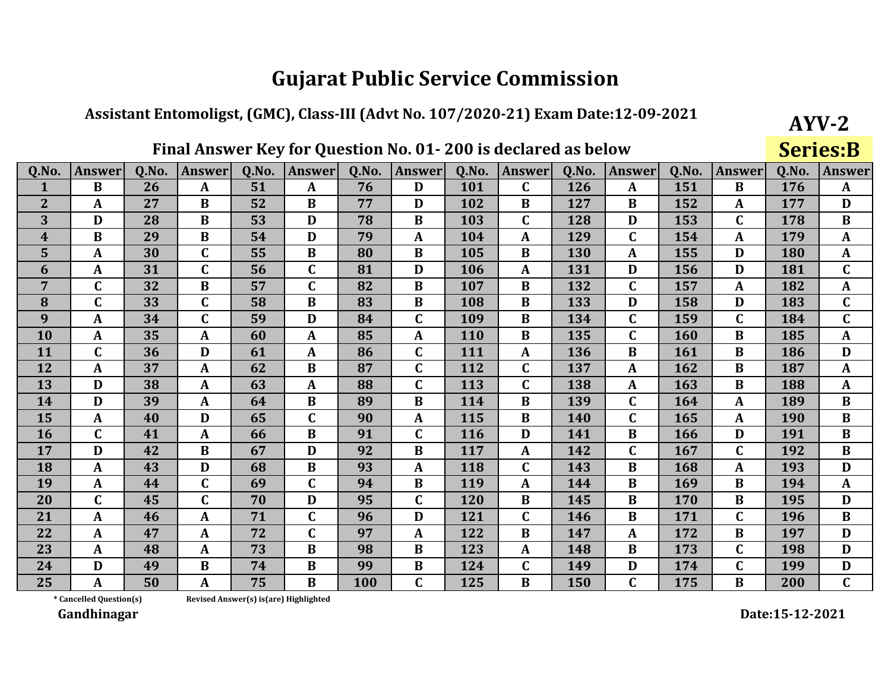## Assistant Entomoligst, (GMC), Class-III (Advt No. 107/2020-21) Exam Date:12-09-2021

## Final Answer Key for Question No. 01-200 is declared as below

**Series:B** 

 $AYV-2$ 

| Q.No.            | <b>Answer</b> | <b>O.No.</b> | <b>Answer</b> | 0.No. | <b>Answer</b> | Q.No.      | <b>Answer</b> | 0.No. | <b>Answer</b> | 0.No.      | <b>Answer</b> | Q.No. | Answer       | <b>O.No.</b> | <b>Answer</b> |
|------------------|---------------|--------------|---------------|-------|---------------|------------|---------------|-------|---------------|------------|---------------|-------|--------------|--------------|---------------|
| 1                | B             | 26           | $\mathbf{A}$  | 51    | $\mathbf{A}$  | 76         | D             | 101   | $\mathbf{C}$  | 126        | $\mathbf{A}$  | 151   | B            | 176          | $\mathbf{A}$  |
| $\overline{2}$   | A             | 27           | B             | 52    | $\bf{B}$      | 77         | D             | 102   | B             | 127        | $\bf{B}$      | 152   | A            | 177          | D             |
| 3                | D             | 28           | $\bf{B}$      | 53    | D             | 78         | $\bf{B}$      | 103   | $\mathbf C$   | 128        | D             | 153   | $\mathbf C$  | 178          | $\bf{B}$      |
| $\boldsymbol{4}$ | $\mathbf{B}$  | 29           | $\bf{B}$      | 54    | D             | 79         | $\mathbf{A}$  | 104   | $\mathbf{A}$  | 129        | $\mathbf C$   | 154   | $\mathbf{A}$ | 179          | $\mathbf{A}$  |
| 5                | $\mathbf{A}$  | 30           | $\mathbf C$   | 55    | $\bf{B}$      | 80         | $\bf{B}$      | 105   | $\bf{B}$      | 130        | A             | 155   | D            | 180          | $\mathbf{A}$  |
| 6                | $\mathbf{A}$  | 31           | $\mathbf C$   | 56    | $\mathbf{C}$  | 81         | D             | 106   | $\mathbf{A}$  | 131        | D             | 156   | D            | 181          | $\mathbf C$   |
| 7                | $\mathbf C$   | 32           | $\bf{B}$      | 57    | $\mathbf{C}$  | 82         | $\bf{B}$      | 107   | $\bf{B}$      | 132        | $\mathbf{C}$  | 157   | $\mathbf{A}$ | 182          | $\mathbf{A}$  |
| 8                | $\mathbf C$   | 33           | $\mathbf C$   | 58    | $\bf{B}$      | 83         | $\bf{B}$      | 108   | $\bf{B}$      | 133        | D             | 158   | D            | 183          | $\mathbf{C}$  |
| 9                | $\mathbf{A}$  | 34           | $\mathbf C$   | 59    | D             | 84         | $\mathbf C$   | 109   | $\bf{B}$      | 134        | $\mathbf C$   | 159   | $\mathbf C$  | 184          | $\mathbf C$   |
| 10               | $\mathbf{A}$  | 35           | $\mathbf{A}$  | 60    | $\mathbf{A}$  | 85         | $\mathbf{A}$  | 110   | $\bf{B}$      | 135        | $\mathbf C$   | 160   | $\bf{B}$     | 185          | $\mathbf{A}$  |
| 11               | C             | 36           | D             | 61    | A             | 86         | $\mathbf C$   | 111   | $\mathbf{A}$  | 136        | B             | 161   | B            | 186          | D             |
| 12               | $\mathbf{A}$  | 37           | $\mathbf{A}$  | 62    | $\bf{B}$      | 87         | $\mathbf C$   | 112   | $\mathbf C$   | 137        | A             | 162   | $\bf{B}$     | 187          | $\mathbf{A}$  |
| 13               | D             | 38           | $\mathbf{A}$  | 63    | $\mathbf{A}$  | 88         | $\mathbf{C}$  | 113   | $\mathbf{C}$  | 138        | A             | 163   | $\bf{B}$     | 188          | $\mathbf{A}$  |
| 14               | D             | 39           | A             | 64    | $\bf{B}$      | 89         | $\bf{B}$      | 114   | B             | 139        | $\mathbf C$   | 164   | $\mathbf{A}$ | 189          | $\bf{B}$      |
| 15               | $\mathbf{A}$  | 40           | D             | 65    | $\mathbf{C}$  | 90         | A             | 115   | B             | 140        | $\mathbf C$   | 165   | A            | 190          | $\bf{B}$      |
| 16               | $\mathbf C$   | 41           | A             | 66    | $\bf{B}$      | 91         | $\mathbf C$   | 116   | D             | 141        | $\bf{B}$      | 166   | D            | 191          | $\bf{B}$      |
| 17               | D             | 42           | $\bf{B}$      | 67    | D             | 92         | $\bf{B}$      | 117   | $\mathbf{A}$  | 142        | $\mathbf{C}$  | 167   | $\mathbf C$  | 192          | $\bf{B}$      |
| 18               | $\mathbf{A}$  | 43           | D             | 68    | $\bf{B}$      | 93         | $\mathbf{A}$  | 118   | $\mathbf C$   | 143        | B             | 168   | $\mathbf{A}$ | 193          | D             |
| 19               | $\mathbf{A}$  | 44           | $\mathbf C$   | 69    | $\mathbf C$   | 94         | $\bf{B}$      | 119   | $\mathbf{A}$  | 144        | $\bf{B}$      | 169   | $\bf{B}$     | 194          | $\mathbf{A}$  |
| 20               | $\mathbf C$   | 45           | $\mathbf C$   | 70    | D             | 95         | $\mathbf C$   | 120   | $\bf{B}$      | 145        | $\bf{B}$      | 170   | $\bf{B}$     | 195          | D             |
| 21               | $\mathbf{A}$  | 46           | A             | 71    | $\mathbf{C}$  | 96         | D             | 121   | $\mathbf C$   | 146        | $\bf{B}$      | 171   | $\mathbf C$  | 196          | $\bf{B}$      |
| 22               | $\mathbf{A}$  | 47           | A             | 72    | $\mathbf{C}$  | 97         | A             | 122   | $\bf{B}$      | 147        | $\mathbf{A}$  | 172   | $\bf{B}$     | 197          | D             |
| 23               | $\mathbf{A}$  | 48           | A             | 73    | $\bf{B}$      | 98         | $\bf{B}$      | 123   | $\mathbf{A}$  | 148        | $\bf{B}$      | 173   | $\mathbf{C}$ | 198          | D             |
| 24               | D             | 49           | $\bf{B}$      | 74    | $\bf{B}$      | 99         | $\bf{B}$      | 124   | $\mathbf C$   | 149        | D             | 174   | $\mathbf C$  | 199          | D             |
| 25               | A             | 50           | A             | 75    | $\bf{B}$      | <b>100</b> | $\mathbf C$   | 125   | $\bf{B}$      | <b>150</b> | $\mathbf C$   | 175   | $\bf{B}$     | 200          | $\mathbf C$   |

\* Cancelled Question(s)

Revised Answer(s) is(are) Highlighted

Gandhinagar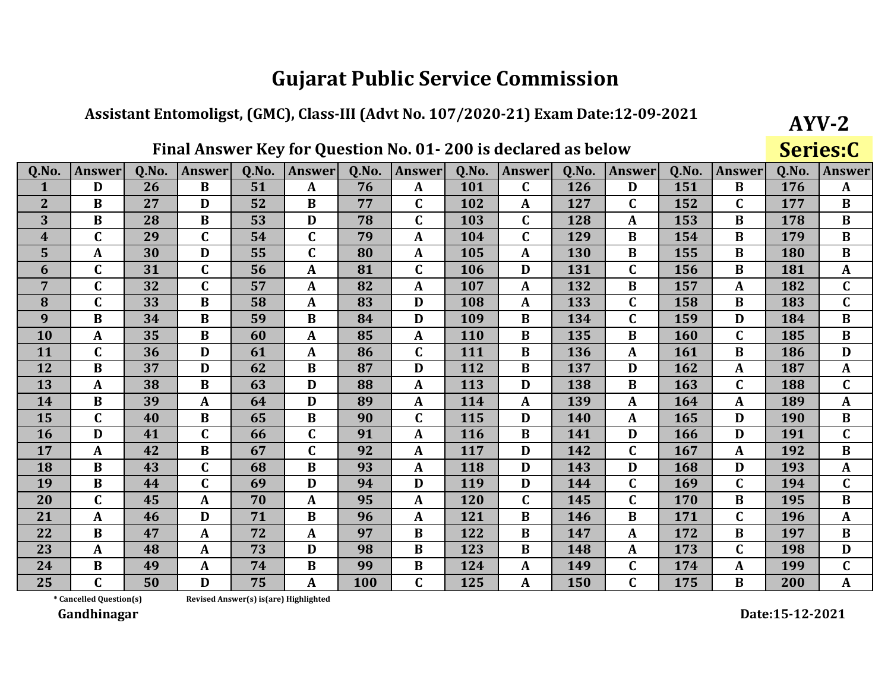#### Assistant Entomoligst, (GMC), Class-III (Advt No. 107/2020-21) Exam Date:12-09-2021

## Final Answer Key for Question No. 01-200 is declared as below

Series:C

 $AYV-2$ 

| Q.No.          | <b>Answer</b> | Q.No. | <b>Answer</b> | Q.No. | <b>Answer</b> | Q.No. | <b>Answer</b> | Q.No. | <b>Answer</b> | Q.No. | <b>Answer</b> | Q.No. | <b>Answer</b> | Q.No.      | <b>Answer</b> |
|----------------|---------------|-------|---------------|-------|---------------|-------|---------------|-------|---------------|-------|---------------|-------|---------------|------------|---------------|
| $\mathbf 1$    | D             | 26    | $\bf{B}$      | 51    | $\mathbf{A}$  | 76    | $\mathbf{A}$  | 101   | $\mathbf C$   | 126   | D             | 151   | B             | 176        | $\mathbf{A}$  |
| $\overline{2}$ | B             | 27    | D             | 52    | B             | 77    | $\mathbf C$   | 102   | A             | 127   | $\mathbf C$   | 152   | $\mathbf C$   | 177        | B             |
| 3              | $\bf{B}$      | 28    | $\bf{B}$      | 53    | D             | 78    | $\mathbf C$   | 103   | $\mathbf{C}$  | 128   | A             | 153   | B             | 178        | $\bf{B}$      |
| 4              | C             | 29    | $\mathbf C$   | 54    | $\mathbf C$   | 79    | $\mathbf{A}$  | 104   | $\mathbf C$   | 129   | B             | 154   | B             | 179        | $\bf{B}$      |
| 5              | $\mathbf{A}$  | 30    | D             | 55    | C             | 80    | A             | 105   | A             | 130   | B             | 155   | $\bf{B}$      | 180        | $\bf{B}$      |
| 6              | $\mathbf C$   | 31    | $\mathbf{C}$  | 56    | A             | 81    | $\mathbf C$   | 106   | D             | 131   | $\mathbf{C}$  | 156   | $\bf{B}$      | 181        | $\mathbf{A}$  |
| 7              | $\mathbf C$   | 32    | $\mathbf C$   | 57    | A             | 82    | $\mathbf{A}$  | 107   | A             | 132   | B             | 157   | $\mathbf{A}$  | 182        | $\mathbf C$   |
| 8              | $\mathsf{C}$  | 33    | B             | 58    | $\mathbf{A}$  | 83    | D             | 108   | A             | 133   | C             | 158   | B             | 183        | $\mathbf{C}$  |
| 9              | B             | 34    | B             | 59    | B             | 84    | D             | 109   | B             | 134   | C             | 159   | D             | 184        | $\bf{B}$      |
| 10             | $\mathbf{A}$  | 35    | $\bf{B}$      | 60    | $\mathbf{A}$  | 85    | $\mathbf{A}$  | 110   | $\bf{B}$      | 135   | B             | 160   | $\mathbf C$   | 185        | $\bf{B}$      |
| 11             | $\mathbf C$   | 36    | D             | 61    | A             | 86    | $\mathbf C$   | 111   | $\bf{B}$      | 136   | A             | 161   | $\bf{B}$      | 186        | D             |
| 12             | $\bf{B}$      | 37    | D             | 62    | B             | 87    | D             | 112   | $\bf{B}$      | 137   | D             | 162   | A             | 187        | $\mathbf{A}$  |
| 13             | $\mathbf{A}$  | 38    | $\bf{B}$      | 63    | D             | 88    | $\mathbf{A}$  | 113   | D             | 138   | $\bf{B}$      | 163   | $\mathbf C$   | 188        | $\mathbf C$   |
| 14             | B             | 39    | A             | 64    | D             | 89    | $\mathbf{A}$  | 114   | $\mathbf{A}$  | 139   | $\mathbf{A}$  | 164   | A             | 189        | $\mathbf{A}$  |
| 15             | $\mathsf{C}$  | 40    | B             | 65    | B             | 90    | $\mathbf C$   | 115   | D             | 140   | A             | 165   | D             | <b>190</b> | $\bf{B}$      |
| 16             | D             | 41    | $\mathbf C$   | 66    | $\mathbf C$   | 91    | $\mathbf{A}$  | 116   | $\bf{B}$      | 141   | D             | 166   | D             | 191        | $\mathbf{C}$  |
| 17             | $\mathbf{A}$  | 42    | $\bf{B}$      | 67    | C             | 92    | A             | 117   | D             | 142   | C             | 167   | A             | 192        | $\bf{B}$      |
| 18             | $\bf{B}$      | 43    | $\mathbf C$   | 68    | $\bf{B}$      | 93    | $\mathbf{A}$  | 118   | D             | 143   | D             | 168   | D             | 193        | $\mathbf{A}$  |
| 19             | $\bf{B}$      | 44    | $\mathbf C$   | 69    | D             | 94    | D             | 119   | D             | 144   | C             | 169   | $\mathbf C$   | 194        | $\mathbf C$   |
| 20             | $\mathbf C$   | 45    | A             | 70    | $\mathbf{A}$  | 95    | $\mathbf{A}$  | 120   | $\mathbf C$   | 145   | $\mathbf{C}$  | 170   | $\bf{B}$      | 195        | $\bf{B}$      |
| 21             | $\mathbf{A}$  | 46    | D             | 71    | $\bf{B}$      | 96    | $\mathbf{A}$  | 121   | $\bf{B}$      | 146   | B             | 171   | $\mathbf C$   | 196        | $\mathbf{A}$  |
| 22             | B             | 47    | A             | 72    | A             | 97    | B             | 122   | B             | 147   | A             | 172   | B             | 197        | $\bf{B}$      |
| 23             | $\mathbf{A}$  | 48    | A             | 73    | D             | 98    | B             | 123   | B             | 148   | A             | 173   | C             | 198        | D             |
| 24             | $\bf{B}$      | 49    | A             | 74    | B             | 99    | $\bf{B}$      | 124   | A             | 149   | C             | 174   | A             | 199        | $\mathbf{C}$  |
| 25             | $\mathbf C$   | 50    | D             | 75    | A             | 100   | $\mathbf C$   | 125   | A             | 150   | C             | 175   | $\bf{B}$      | 200        | $\mathbf{A}$  |

\* Cancelled Question(s)

Revised Answer(s) is(are) Highlighted

Gandhinagar